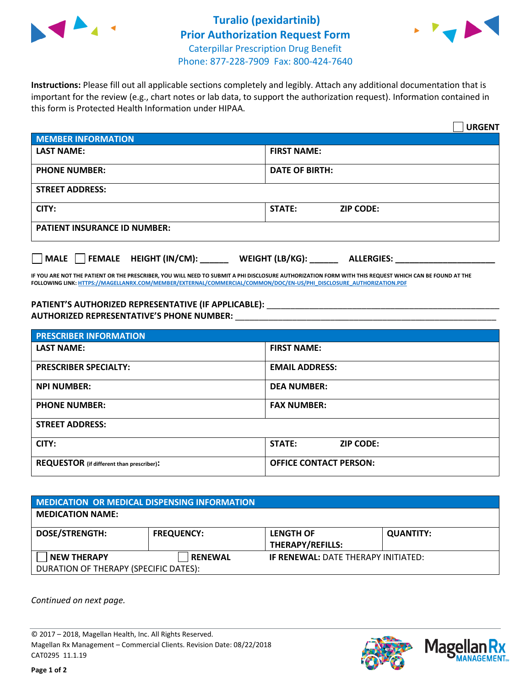



**Instructions:** Please fill out all applicable sections completely and legibly. Attach any additional documentation that is important for the review (e.g., chart notes or lab data, to support the authorization request). Information contained in this form is Protected Health Information under HIPAA.

|                                                | <b>URGENT</b>                        |  |  |  |
|------------------------------------------------|--------------------------------------|--|--|--|
| <b>MEMBER INFORMATION</b>                      |                                      |  |  |  |
| <b>LAST NAME:</b>                              | <b>FIRST NAME:</b>                   |  |  |  |
| <b>PHONE NUMBER:</b>                           | <b>DATE OF BIRTH:</b>                |  |  |  |
| <b>STREET ADDRESS:</b>                         |                                      |  |  |  |
| CITY:                                          | <b>STATE:</b><br><b>ZIP CODE:</b>    |  |  |  |
| <b>PATIENT INSURANCE ID NUMBER:</b>            |                                      |  |  |  |
| $\Box$ FEMALE HEIGHT (IN/CM): _<br><b>MALE</b> | WEIGHT (LB/KG):<br><b>ALLERGIES:</b> |  |  |  |

**IF YOU ARE NOT THE PATIENT OR THE PRESCRIBER, YOU WILL NEED TO SUBMIT A PHI DISCLOSURE AUTHORIZATION FORM WITH THIS REQUEST WHICH CAN BE FOUND AT THE FOLLOWING LINK[: HTTPS://MAGELLANRX.COM/MEMBER/EXTERNAL/COMMERCIAL/COMMON/DOC/EN-US/PHI\\_DISCLOSURE\\_AUTHORIZATION.PDF](https://magellanrx.com/member/external/commercial/common/doc/en-us/PHI_Disclosure_Authorization.pdf)**

PATIENT'S AUTHORIZED REPRESENTATIVE (IF APPLICABLE): \_\_\_\_\_\_\_\_\_\_\_\_\_\_\_\_\_\_\_\_\_\_\_\_\_\_\_ **AUTHORIZED REPRESENTATIVE'S PHONE NUMBER:** \_\_\_\_\_\_\_\_\_\_\_\_\_\_\_\_\_\_\_\_\_\_\_\_\_\_\_\_\_\_\_\_\_\_\_\_\_\_\_\_\_\_\_\_\_\_\_\_\_\_\_\_\_\_\_

| <b>PRESCRIBER INFORMATION</b>             |                               |  |  |  |
|-------------------------------------------|-------------------------------|--|--|--|
| <b>LAST NAME:</b>                         | <b>FIRST NAME:</b>            |  |  |  |
| <b>PRESCRIBER SPECIALTY:</b>              | <b>EMAIL ADDRESS:</b>         |  |  |  |
| <b>NPI NUMBER:</b>                        | <b>DEA NUMBER:</b>            |  |  |  |
| <b>PHONE NUMBER:</b>                      | <b>FAX NUMBER:</b>            |  |  |  |
| <b>STREET ADDRESS:</b>                    |                               |  |  |  |
| CITY:                                     | STATE:<br><b>ZIP CODE:</b>    |  |  |  |
| REQUESTOR (if different than prescriber): | <b>OFFICE CONTACT PERSON:</b> |  |  |  |

| <b>MEDICATION OR MEDICAL DISPENSING INFORMATION</b> |                   |                                            |                  |  |  |
|-----------------------------------------------------|-------------------|--------------------------------------------|------------------|--|--|
| <b>MEDICATION NAME:</b>                             |                   |                                            |                  |  |  |
| <b>DOSE/STRENGTH:</b>                               | <b>FREQUENCY:</b> | <b>LENGTH OF</b>                           | <b>QUANTITY:</b> |  |  |
|                                                     |                   | <b>THERAPY/REFILLS:</b>                    |                  |  |  |
| <b>NEW THERAPY</b>                                  | <b>RENEWAL</b>    | <b>IF RENEWAL: DATE THERAPY INITIATED:</b> |                  |  |  |
| DURATION OF THERAPY (SPECIFIC DATES):               |                   |                                            |                  |  |  |

*Continued on next page.*

© 2017 – 2018, Magellan Health, Inc. All Rights Reserved. Magellan Rx Management – Commercial Clients. Revision Date: 08/22/2018 CAT0295 11.1.19